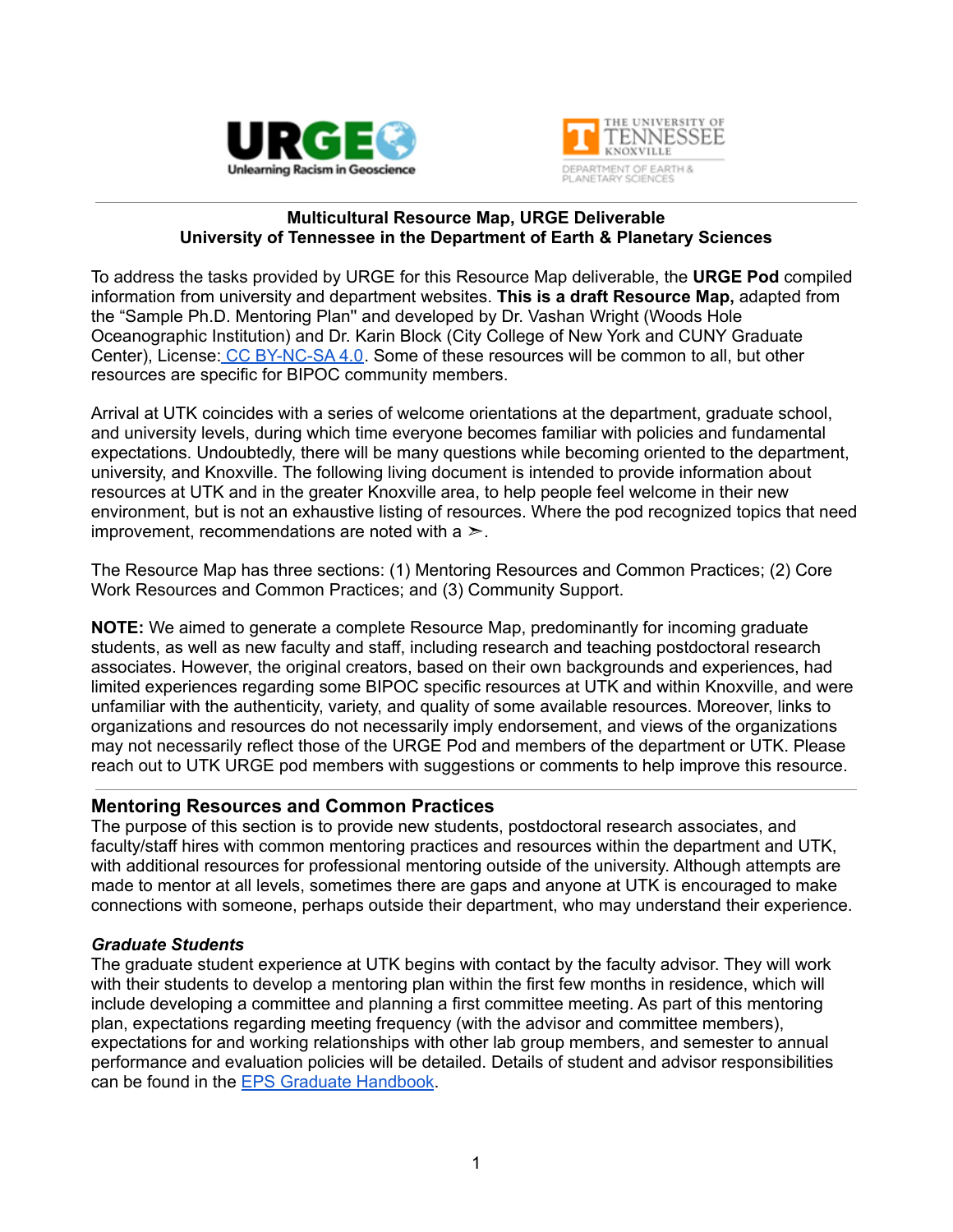



#### **Multicultural Resource Map, URGE Deliverable University of Tennessee in the Department of Earth & Planetary Sciences**

To address the tasks provided by URGE for this Resource Map deliverable, the **URGE Pod** compiled information from university and department websites. **This is a draft Resource Map,** adapted from the "Sample Ph.D. Mentoring Plan'' and developed by Dr. Vashan Wright (Woods Hole Oceanographic Institution) and Dr. Karin Block (City College of New York and CUNY Graduate Center), License: CC [BY-NC-SA](https://creativecommons.org/licenses/by-nc-sa/4.0/) 4.0. Some of these resources will be common to all, but other resources are specific for BIPOC community members.

Arrival at UTK coincides with a series of welcome orientations at the department, graduate school, and university levels, during which time everyone becomes familiar with policies and fundamental expectations. Undoubtedly, there will be many questions while becoming oriented to the department, university, and Knoxville. The following living document is intended to provide information about resources at UTK and in the greater Knoxville area, to help people feel welcome in their new environment, but is not an exhaustive listing of resources. Where the pod recognized topics that need improvement, recommendations are noted with a  $\geq$ .

The Resource Map has three sections: (1) Mentoring Resources and Common Practices; (2) Core Work Resources and Common Practices; and (3) Community Support.

**NOTE:** We aimed to generate a complete Resource Map, predominantly for incoming graduate students, as well as new faculty and staff, including research and teaching postdoctoral research associates. However, the original creators, based on their own backgrounds and experiences, had limited experiences regarding some BIPOC specific resources at UTK and within Knoxville, and were unfamiliar with the authenticity, variety, and quality of some available resources. Moreover, links to organizations and resources do not necessarily imply endorsement, and views of the organizations may not necessarily reflect those of the URGE Pod and members of the department or UTK. Please reach out to UTK URGE pod members with suggestions or comments to help improve this resource.

### **Mentoring Resources and Common Practices**

The purpose of this section is to provide new students, postdoctoral research associates, and faculty/staff hires with common mentoring practices and resources within the department and UTK, with additional resources for professional mentoring outside of the university. Although attempts are made to mentor at all levels, sometimes there are gaps and anyone at UTK is encouraged to make connections with someone, perhaps outside their department, who may understand their experience.

### *Graduate Students*

The graduate student experience at UTK begins with contact by the faculty advisor. They will work with their students to develop a mentoring plan within the first few months in residence, which will include developing a committee and planning a first committee meeting. As part of this mentoring plan, expectations regarding meeting frequency (with the advisor and committee members), expectations for and working relationships with other lab group members, and semester to annual performance and evaluation policies will be detailed. Details of student and advisor responsibilities can be found in the EPS Graduate [Handbook](https://eps.utk.edu/docs/EPS_Grad_Manual.pdf).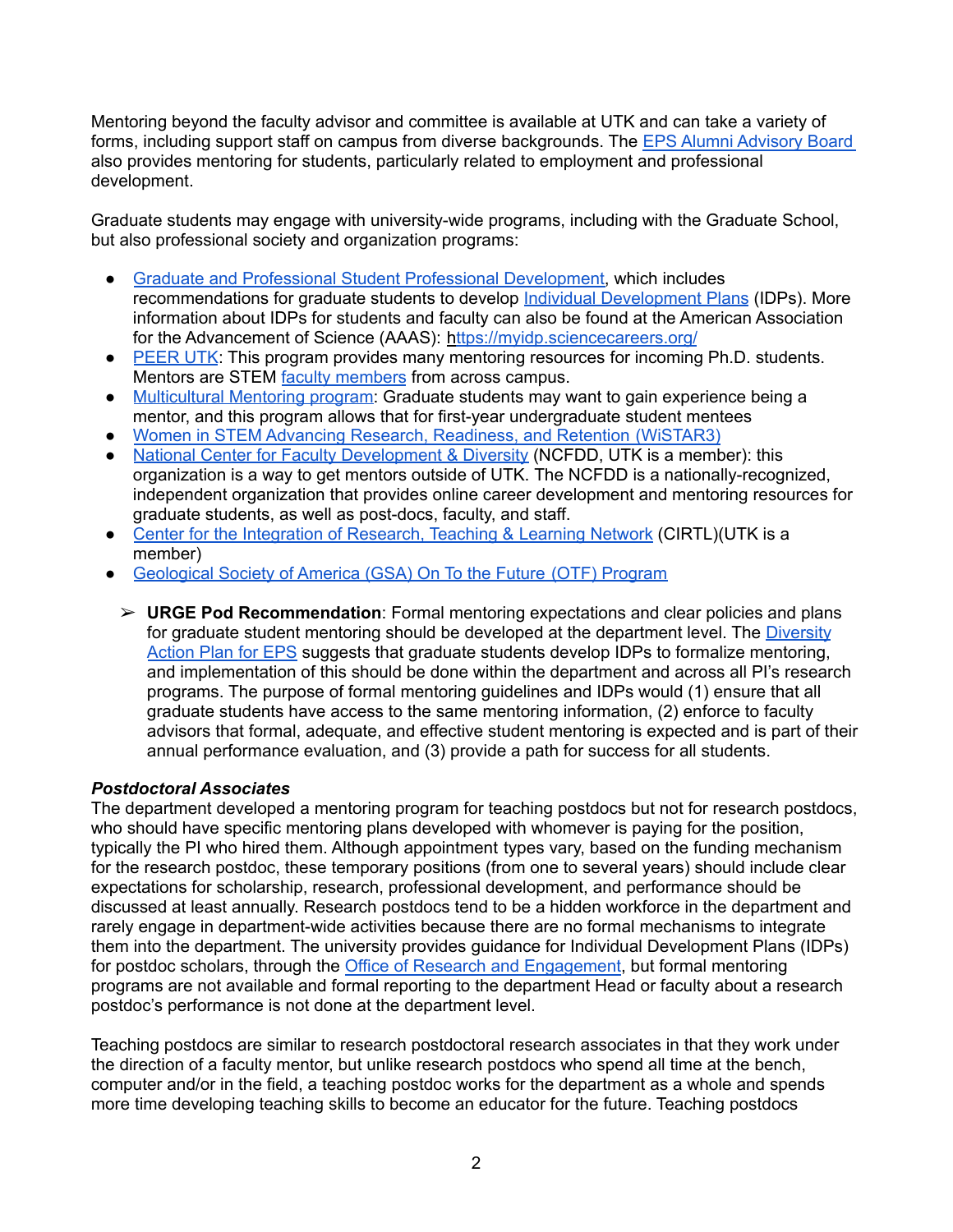Mentoring beyond the faculty advisor and committee is available at UTK and can take a variety of forms, including support staff on campus from diverse backgrounds. The EPS Alumni [Advisory](https://eps.utk.edu/about/board.php) Board also provides mentoring for students, particularly related to employment and professional development.

Graduate students may engage with university-wide programs, including with the Graduate School, but also professional society and organization programs:

- Graduate and Professional Student Professional [Development,](https://gradschool.utk.edu/training-and-mentorship/gpspd/) which includes recommendations for graduate students to develop Individual [Development](https://gradschool.utk.edu/training-and-mentorship/independent-development-plans/) Plans (IDPs). More information about IDPs for students and faculty can also be found at the American Association for the Advancement of Science (AAAS): <https://myidp.sciencecareers.org/>
- [PEER](https://peer.utk.edu/future-students/mentorship-network/) UTK: This program provides many mentoring resources for incoming Ph.D. students. Mentors are STEM faculty [members](https://peer.utk.edu/people/peer-mentors/) from across campus.
- [Multicultural](https://multicultural.utk.edu/programs/mmp/) Mentoring program: Graduate students may want to gain experience being a mentor, and this program allows that for first-year undergraduate student mentees
- Women in STEM Advancing Research, [Readiness,](https://cfwstem.weebly.com/wistar3.html) and Retention (WiSTAR3)
- National Center for Faculty [Development](https://www.facultydiversity.org/institutions/utk) & Diversity (NCFDD, UTK is a member): this organization is a way to get mentors outside of UTK. The NCFDD is a nationally-recognized, independent organization that provides online career development and mentoring resources for graduate students, as well as post-docs, faculty, and staff.
- Center for the [Integration](https://teaching.utk.edu/utcirtl/) of Research, Teaching & Learning Network (CIRTL)(UTK is a member)
- [Geological](https://www.geosociety.org/GSA/Education_Careers/Grants_Scholarships/otf/GSA/OTF/amMentor.aspx) Society of America (GSA) On To the Future (OTF) Program
	- ➢ **URGE Pod Recommendation**: Formal mentoring expectations and clear policies and plans for graduate student mentoring should be developed at the department level. The [Diversity](https://eps.utk.edu/diversity/EPS%20Diversity%20Action%20Plan.pdf) [Action](https://eps.utk.edu/diversity/EPS%20Diversity%20Action%20Plan.pdf) Plan for EPS suggests that graduate students develop IDPs to formalize mentoring. and implementation of this should be done within the department and across all PI's research programs. The purpose of formal mentoring guidelines and IDPs would (1) ensure that all graduate students have access to the same mentoring information, (2) enforce to faculty advisors that formal, adequate, and effective student mentoring is expected and is part of their annual performance evaluation, and (3) provide a path for success for all students.

### *Postdoctoral Associates*

The department developed a mentoring program for teaching postdocs but not for research postdocs, who should have specific mentoring plans developed with whomever is paying for the position, typically the PI who hired them. Although appointment types vary, based on the funding mechanism for the research postdoc, these temporary positions (from one to several years) should include clear expectations for scholarship, research, professional development, and performance should be discussed at least annually. Research postdocs tend to be a hidden workforce in the department and rarely engage in department-wide activities because there are no formal mechanisms to integrate them into the department. The university provides guidance for Individual Development Plans (IDPs) for postdoc scholars, through the Office of Research and [Engagement](https://research.utk.edu/proposal-support/toolkit/research-tools/individual-development-plan-idp-program/), but formal mentoring programs are not available and formal reporting to the department Head or faculty about a research postdoc's performance is not done at the department level.

Teaching postdocs are similar to research postdoctoral research associates in that they work under the direction of a faculty mentor, but unlike research postdocs who spend all time at the bench, computer and/or in the field, a teaching postdoc works for the department as a whole and spends more time developing teaching skills to become an educator for the future. Teaching postdocs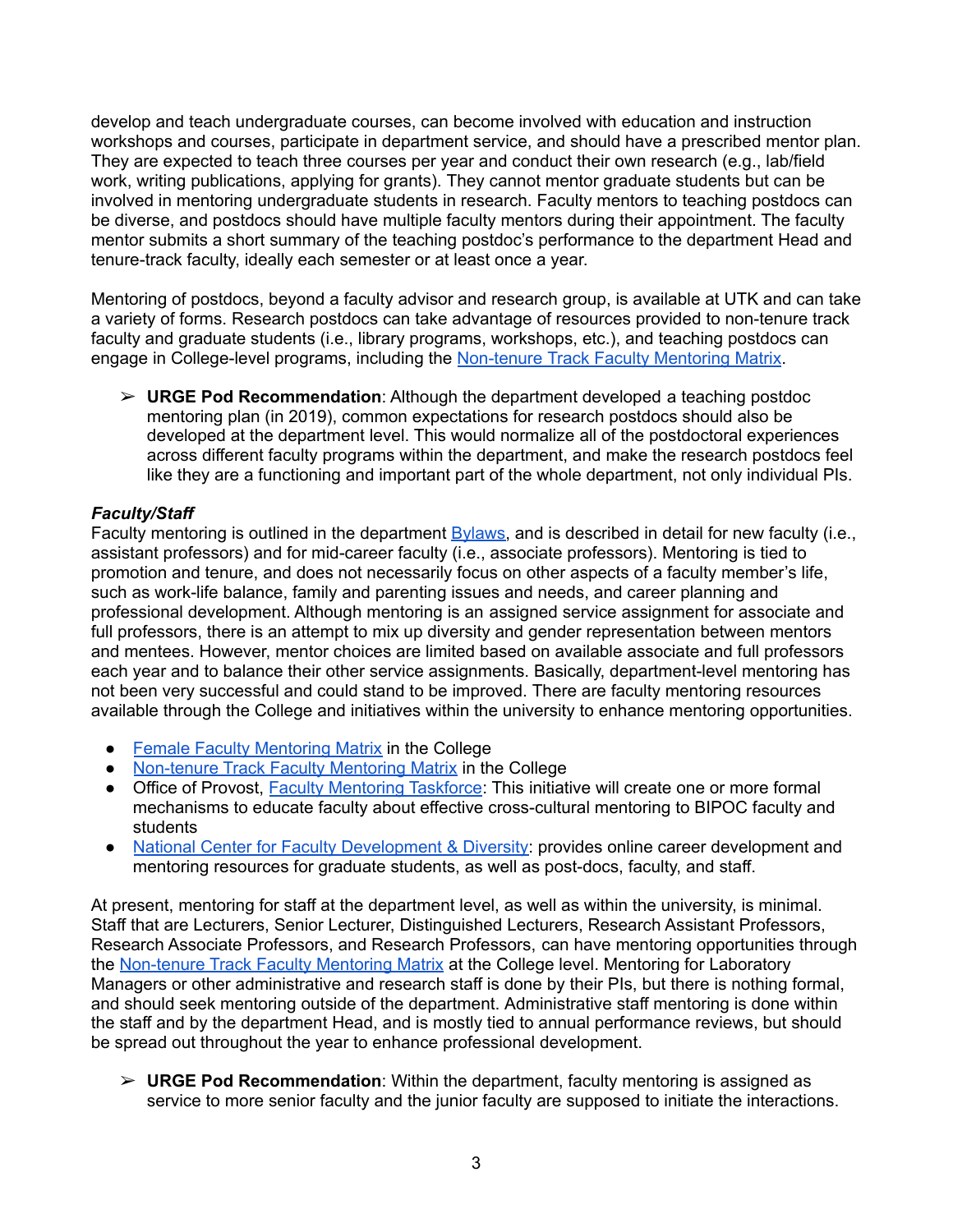develop and teach undergraduate courses, can become involved with education and instruction workshops and courses, participate in department service, and should have a prescribed mentor plan. They are expected to teach three courses per year and conduct their own research (e.g., lab/field work, writing publications, applying for grants). They cannot mentor graduate students but can be involved in mentoring undergraduate students in research. Faculty mentors to teaching postdocs can be diverse, and postdocs should have multiple faculty mentors during their appointment. The faculty mentor submits a short summary of the teaching postdoc's performance to the department Head and tenure-track faculty, ideally each semester or at least once a year.

Mentoring of postdocs, beyond a faculty advisor and research group, is available at UTK and can take a variety of forms. Research postdocs can take advantage of resources provided to non-tenure track faculty and graduate students (i.e., library programs, workshops, etc.), and teaching postdocs can engage in College-level programs, including the [Non-tenure](https://artsci.utk.edu/college-of-arts-sciences-mentoring-matrix-program-for-non-tenure-track-faculty-application/) Track Faculty Mentoring Matrix.

➢ **URGE Pod Recommendation**: Although the department developed a teaching postdoc mentoring plan (in 2019), common expectations for research postdocs should also be developed at the department level. This would normalize all of the postdoctoral experiences across different faculty programs within the department, and make the research postdocs feel like they are a functioning and important part of the whole department, not only individual PIs.

# *Faculty/Staff*

Faculty mentoring is outlined in the department [Bylaws,](https://eps.utk.edu/docs/bylaws.pdf) and is described in detail for new faculty (i.e., assistant professors) and for mid-career faculty (i.e., associate professors). Mentoring is tied to promotion and tenure, and does not necessarily focus on other aspects of a faculty member's life, such as work-life balance, family and parenting issues and needs, and career planning and professional development. Although mentoring is an assigned service assignment for associate and full professors, there is an attempt to mix up diversity and gender representation between mentors and mentees. However, mentor choices are limited based on available associate and full professors each year and to balance their other service assignments. Basically, department-level mentoring has not been very successful and could stand to be improved. There are faculty mentoring resources available through the College and initiatives within the university to enhance mentoring opportunities.

- Female Faculty [Mentoring](https://artsci.utk.edu/mentoring-matrix-program-application/) Matrix in the College
- [Non-tenure](https://artsci.utk.edu/college-of-arts-sciences-mentoring-matrix-program-for-non-tenure-track-faculty-application/) Track Faculty Mentoring Matrix in the College
- Office of Provost, **Faculty [Mentoring](https://provost.utk.edu/faculty-mentoring-taskforce/) Taskforce:** This initiative will create one or more formal mechanisms to educate faculty about effective cross-cultural mentoring to BIPOC faculty and students
- National Center for Faculty [Development](https://www.facultydiversity.org/institutions/utk) & Diversity: provides online career development and mentoring resources for graduate students, as well as post-docs, faculty, and staff.

At present, mentoring for staff at the department level, as well as within the university, is minimal. Staff that are Lecturers, Senior Lecturer, Distinguished Lecturers, Research Assistant Professors, Research Associate Professors, and Research Professors, can have mentoring opportunities through the [Non-tenure](https://artsci.utk.edu/college-of-arts-sciences-mentoring-matrix-program-for-non-tenure-track-faculty-application/) Track Faculty Mentoring Matrix at the College level. Mentoring for Laboratory Managers or other administrative and research staff is done by their PIs, but there is nothing formal, and should seek mentoring outside of the department. Administrative staff mentoring is done within the staff and by the department Head, and is mostly tied to annual performance reviews, but should be spread out throughout the year to enhance professional development.

➢ **URGE Pod Recommendation**: Within the department, faculty mentoring is assigned as service to more senior faculty and the junior faculty are supposed to initiate the interactions.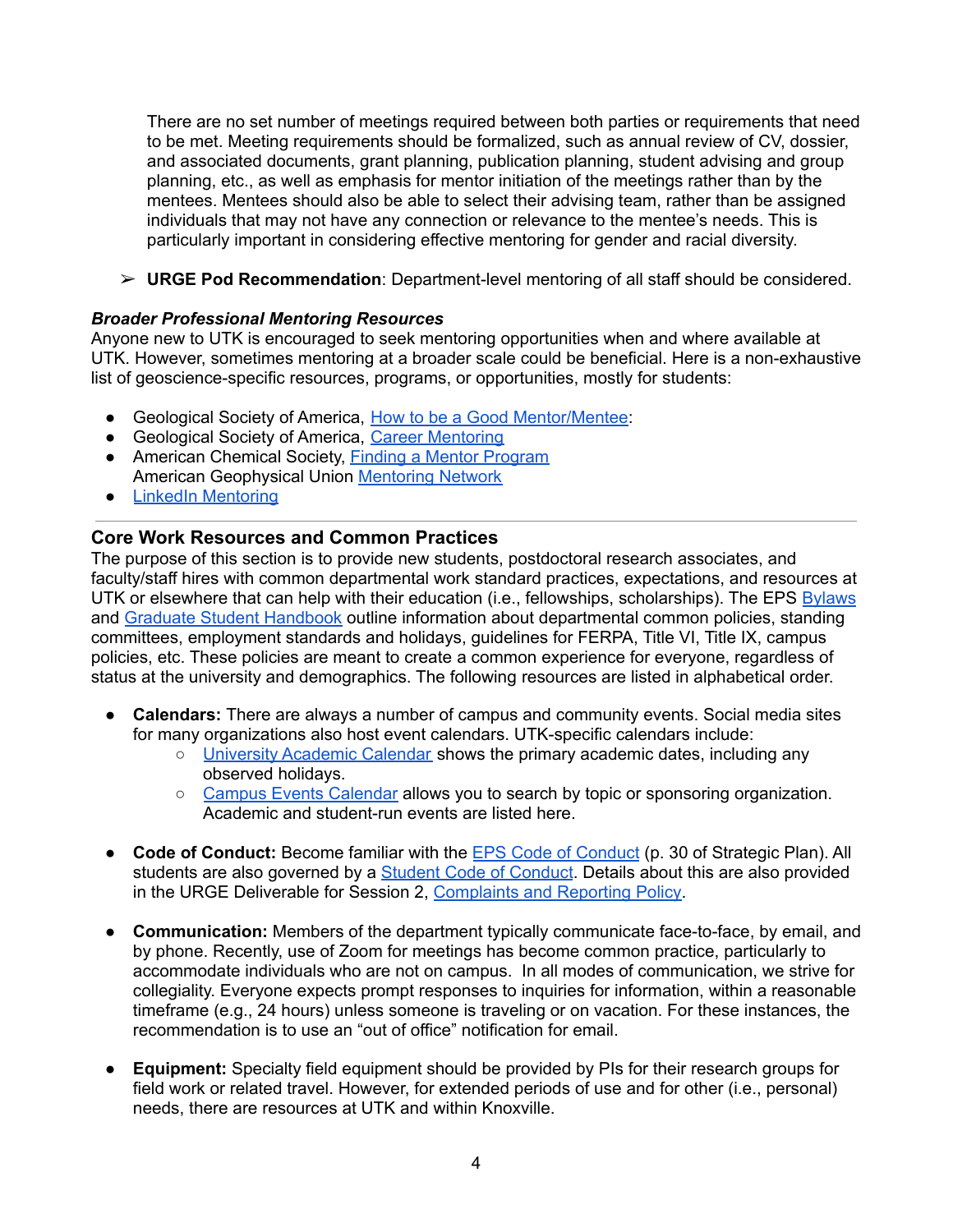There are no set number of meetings required between both parties or requirements that need to be met. Meeting requirements should be formalized, such as annual review of CV, dossier, and associated documents, grant planning, publication planning, student advising and group planning, etc., as well as emphasis for mentor initiation of the meetings rather than by the mentees. Mentees should also be able to select their advising team, rather than be assigned individuals that may not have any connection or relevance to the mentee's needs. This is particularly important in considering effective mentoring for gender and racial diversity.

➢ **URGE Pod Recommendation**: Department-level mentoring of all staff should be considered.

### *Broader Professional Mentoring Resources*

Anyone new to UTK is encouraged to seek mentoring opportunities when and where available at UTK. However, sometimes mentoring at a broader scale could be beneficial. Here is a non-exhaustive list of geoscience-specific resources, programs, or opportunities, mostly for students:

- Geological Society of America, How to be a Good [Mentor/Mentee:](https://www.geosociety.org/documents/gsa/careers/mentoring/how-to-be-a-good-mentor-mentee.pdf)
- Geological Society of America, Career [Mentoring](https://www.geosociety.org/GSA/Education_Careers/Networking/GSA/careers/mentors.aspx)
- American Chemical Society, Finding a Mentor [Program](https://www.acs.org/content/acs/en/education/students/college/findingamentor.html) American Geophysical Union [Mentoring](https://www.agu.org/Learn-and-Develop/Learn/Mentoring-Programs/MentoringNetwork) Network
- LinkedIn [Mentoring](https://www.linkedinmentoring.com/)

# **Core Work Resources and Common Practices**

The purpose of this section is to provide new students, postdoctoral research associates, and faculty/staff hires with common departmental work standard practices, expectations, and resources at UTK or elsewhere that can help with their education (i.e., fellowships, scholarships). The EPS [Bylaws](https://eps.utk.edu/docs/bylaws.pdf) and Graduate Student [Handbook](https://eps.utk.edu/docs/EPS_Grad_Manual.pdf) outline information about departmental common policies, standing committees, employment standards and holidays, guidelines for FERPA, Title VI, Title IX, campus policies, etc. These policies are meant to create a common experience for everyone, regardless of status at the university and demographics. The following resources are listed in alphabetical order.

- **Calendars:** There are always a number of campus and community events. Social media sites for many organizations also host event calendars. UTK-specific calendars include:
	- University [Academic](https://registrar.utk.edu/calendar/academic-calendars/) Calendar shows the primary academic dates, including any observed holidays.
	- Campus Events [Calendar](https://calendar.utk.edu/) allows you to search by topic or sponsoring organization. Academic and student-run events are listed here.
- **Code of Conduct:** Become familiar with the EPS Code of [Conduct](https://eps.utk.edu/docs/Strategic%20Plan.pdf) (p. 30 of Strategic Plan). All students are also governed by a Student Code of [Conduct](https://studentconduct.utk.edu/). Details about this are also provided in the URGE Deliverable for Session 2, [Complaints](https://urgeoscience.org/index.php?gf-download=2021%2F02%2FU-TENNESSEE-Complaint-Reporting-Session-21.pdf&form-id=4&field-id=6&hash=ecc97efc82bc4f71cf8a1e08c00b761c7731c7ec8138270d40913c121c9d7c03) and Reporting Policy.
- **Communication:** Members of the department typically communicate face-to-face, by email, and by phone. Recently, use of Zoom for meetings has become common practice, particularly to accommodate individuals who are not on campus. In all modes of communication, we strive for collegiality. Everyone expects prompt responses to inquiries for information, within a reasonable timeframe (e.g., 24 hours) unless someone is traveling or on vacation. For these instances, the recommendation is to use an "out of office" notification for email.
- **Equipment:** Specialty field equipment should be provided by PIs for their research groups for field work or related travel. However, for extended periods of use and for other (i.e., personal) needs, there are resources at UTK and within Knoxville.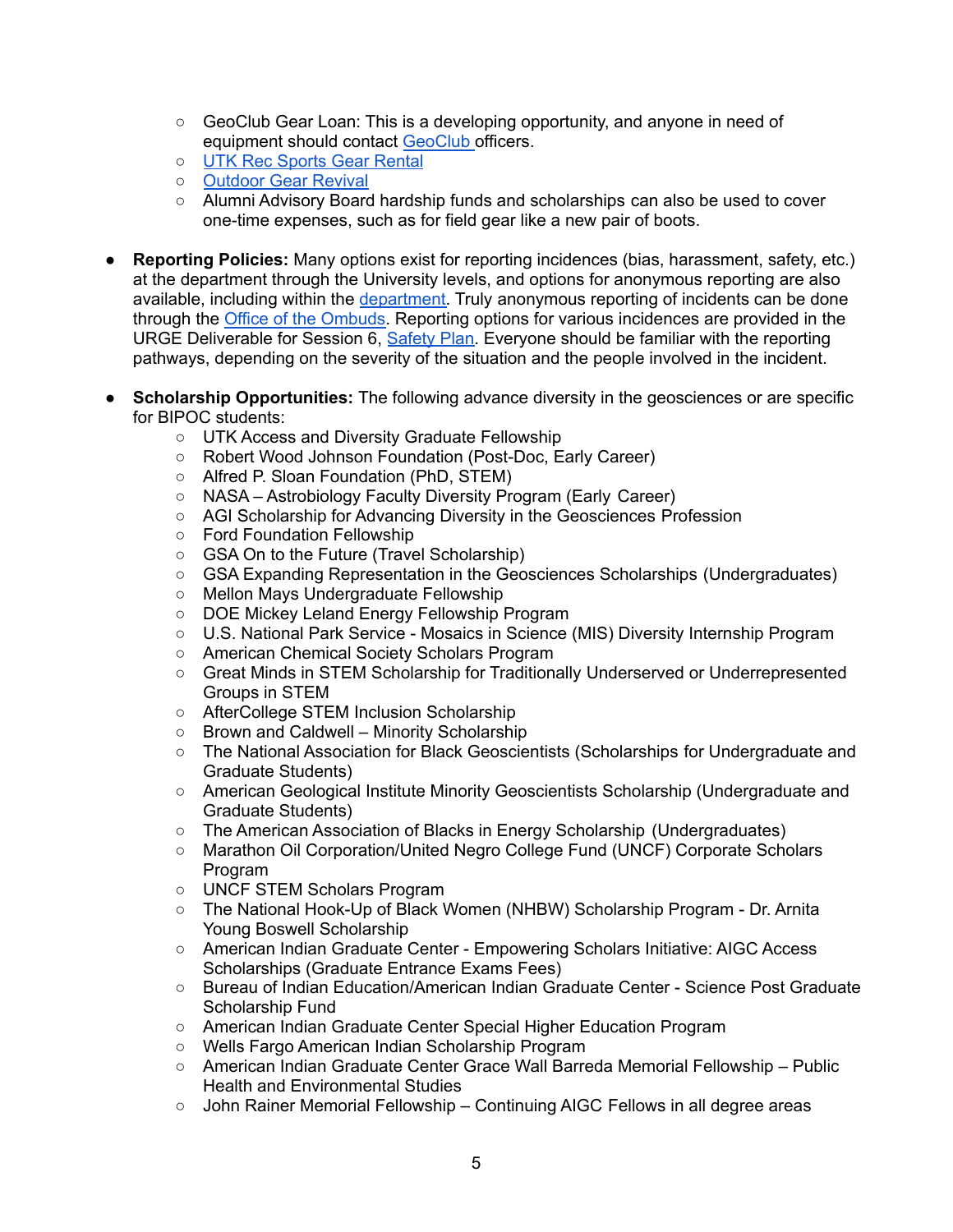- GeoClub Gear Loan: This is a developing opportunity, and anyone in need of equipment should contact [GeoClub](https://eps.utk.edu/undergraduate/ugradclubs.php) officers.
- UTK Rec [Sports](https://recsports.utk.edu/utop/equipment-rentals/) Gear Rental
- [Outdoor](https://outdoorgearrevivalknox.com/) Gear Revival
- Alumni Advisory Board hardship funds and scholarships can also be used to cover one-time expenses, such as for field gear like a new pair of boots.
- **Reporting Policies:** Many options exist for reporting incidences (bias, harassment, safety, etc.) at the department through the University levels, and options for anonymous reporting are also available, including within the [department.](https://eps.utk.edu/diversity/index.php) Truly anonymous reporting of incidents can be done through the Office of the [Ombuds.](https://ombuds.utk.edu/) Reporting options for various incidences are provided in the URGE Deliverable for Session 6, [Safety](https://urgeoscience.org/pods/u-of-tennessee-earth-planetary-sciences-pod/#) Plan. Everyone should be familiar with the reporting pathways, depending on the severity of the situation and the people involved in the incident.
- **Scholarship Opportunities:** The following advance diversity in the geosciences or are specific for BIPOC students:
	- UTK Access and Diversity Graduate Fellowship
	- Robert Wood Johnson Foundation (Post-Doc, Early Career)
	- Alfred P. Sloan Foundation (PhD, STEM)
	- NASA Astrobiology Faculty Diversity Program (Early Career)
	- AGI Scholarship for Advancing Diversity in the Geosciences Profession
	- Ford Foundation Fellowship
	- GSA On to the Future (Travel Scholarship)
	- GSA Expanding Representation in the Geosciences Scholarships (Undergraduates)
	- Mellon Mays Undergraduate Fellowship
	- DOE Mickey Leland Energy Fellowship Program
	- U.S. National Park Service Mosaics in Science (MIS) Diversity Internship Program
	- American Chemical Society Scholars Program
	- Great Minds in STEM Scholarship for Traditionally Underserved or Underrepresented Groups in STEM
	- AfterCollege STEM Inclusion Scholarship
	- Brown and Caldwell Minority Scholarship
	- The National Association for Black Geoscientists (Scholarships for Undergraduate and Graduate Students)
	- American Geological Institute Minority Geoscientists Scholarship (Undergraduate and Graduate Students)
	- The American Association of Blacks in Energy Scholarship (Undergraduates)
	- Marathon Oil Corporation/United Negro College Fund (UNCF) Corporate Scholars Program
	- UNCF STEM Scholars Program
	- The National Hook-Up of Black Women (NHBW) Scholarship Program Dr. Arnita Young Boswell Scholarship
	- American Indian Graduate Center Empowering Scholars Initiative: AIGC Access Scholarships (Graduate Entrance Exams Fees)
	- Bureau of Indian Education/American Indian Graduate Center Science Post Graduate Scholarship Fund
	- American Indian Graduate Center Special Higher Education Program
	- Wells Fargo American Indian Scholarship Program
	- American Indian Graduate Center Grace Wall Barreda Memorial Fellowship Public Health and Environmental Studies
	- $\circ$  John Rainer Memorial Fellowship Continuing AIGC Fellows in all degree areas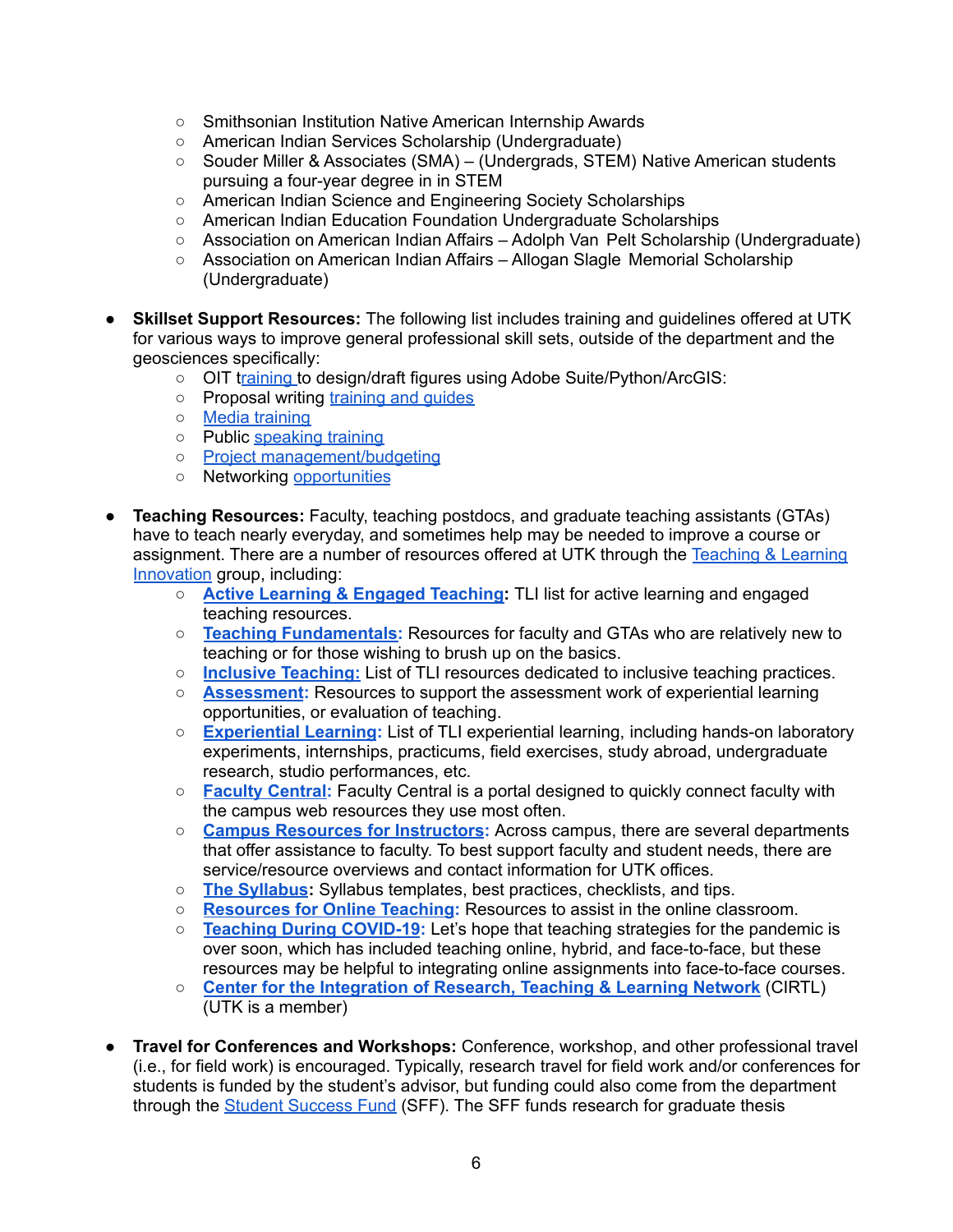- Smithsonian Institution Native American Internship Awards
- American Indian Services Scholarship (Undergraduate)
- Souder Miller & Associates (SMA) (Undergrads, STEM) Native American students pursuing a four-year degree in in STEM
- American Indian Science and Engineering Society Scholarships
- American Indian Education Foundation Undergraduate Scholarships
- Association on American Indian Affairs Adolph Van Pelt Scholarship (Undergraduate)
- Association on American Indian Affairs Allogan Slagle Memorial Scholarship (Undergraduate)
- **● Skillset Support Resources:** The following list includes training and guidelines offered at UTK for various ways to improve general professional skill sets, outside of the department and the geosciences specifically:
	- OIT t[raining](https://oit.utk.edu/training/) to design/draft figures using Adobe Suite/Python/ArcGIS:
	- o Proposal writing [training](https://research.utk.edu/proposal-support/toolkit/articles-guides-manuals/) and quides
	- **○** Media [training](https://oit.utk.edu/training/)
	- o Public [speaking](https://cmst.utk.edu/tops/) training
	- Project [management/budgeting](https://hr.tennessee.edu/eod/online-learning/)
	- **○** Networking [opportunities](https://career.utk.edu/students/networking/)
- **● Teaching Resources:** Faculty, teaching postdocs, and graduate teaching assistants (GTAs) have to teach nearly everyday, and sometimes help may be needed to improve a course or assignment. There are a number of resources offered at UTK through the [Teaching](https://teaching.utk.edu/teaching-resources/) & Learning [Innovation](https://teaching.utk.edu/teaching-resources/) group, including:
	- **○ Active Learning & Engaged [Teaching:](https://teaching.utk.edu/teaching-resources/active-learning/)** TLI list for active learning and engaged teaching resources.
	- **○ Teaching [Fundamentals:](https://teaching.utk.edu/teaching-resources/fundamentals/)** Resources for faculty and GTAs who are relatively new to teaching or for those wishing to brush up on the basics.
	- **○ Inclusive [Teaching:](https://teaching.utk.edu/teaching-resources/inclusiveteaching/)** List of TLI resources dedicated to inclusive teaching practices.
	- **○ [Assessment:](https://teaching.utk.edu/teaching-resources/assessment/)** Resources to support the assessment work of experiential learning opportunities, or evaluation of teaching.
	- **○ [Experiential](https://teaching.utk.edu/teaching-resources/experiential-learning/) Learning:** List of TLI experiential learning, including hands-on laboratory experiments, internships, practicums, field exercises, study abroad, undergraduate research, studio performances, etc.
	- **○ Faculty [Central:](https://facultycentral.utk.edu/)** Faculty Central is a portal designed to quickly connect faculty with the campus web resources they use most often.
	- **○ Campus Resources for [Instructors:](https://teaching.utk.edu/ut-teachingguide/)** Across campus, there are several departments that offer assistance to faculty. To best support faculty and student needs, there are service/resource overviews and contact information for UTK offices.
	- **○ The [Syllabus](https://teaching.utk.edu/the-syllabus/):** Syllabus templates, best practices, checklists, and tips.
	- **○ [Resources](https://teaching.utk.edu/resources-for-online-teaching/) for Online Teaching:** Resources to assist in the online classroom.
	- **○ Teaching During [COVID-19:](https://teaching.utk.edu/teaching_covid19_resources/)** Let's hope that teaching strategies for the pandemic is over soon, which has included teaching online, hybrid, and face-to-face, but these resources may be helpful to integrating online assignments into face-to-face courses.
	- **○ Center for the [Integration](https://teaching.utk.edu/utcirtl/) of Research, Teaching & Learning Network** (CIRTL) (UTK is a member)
- **Travel for Conferences and Workshops:** Conference, workshop, and other professional travel (i.e., for field work) is encouraged. Typically, research travel for field work and/or conferences for students is funded by the student's advisor, but funding could also come from the department through the Student [Success](https://eps.utk.edu/docs/DFPolicy.pdf) Fund (SFF). The SFF funds research for graduate thesis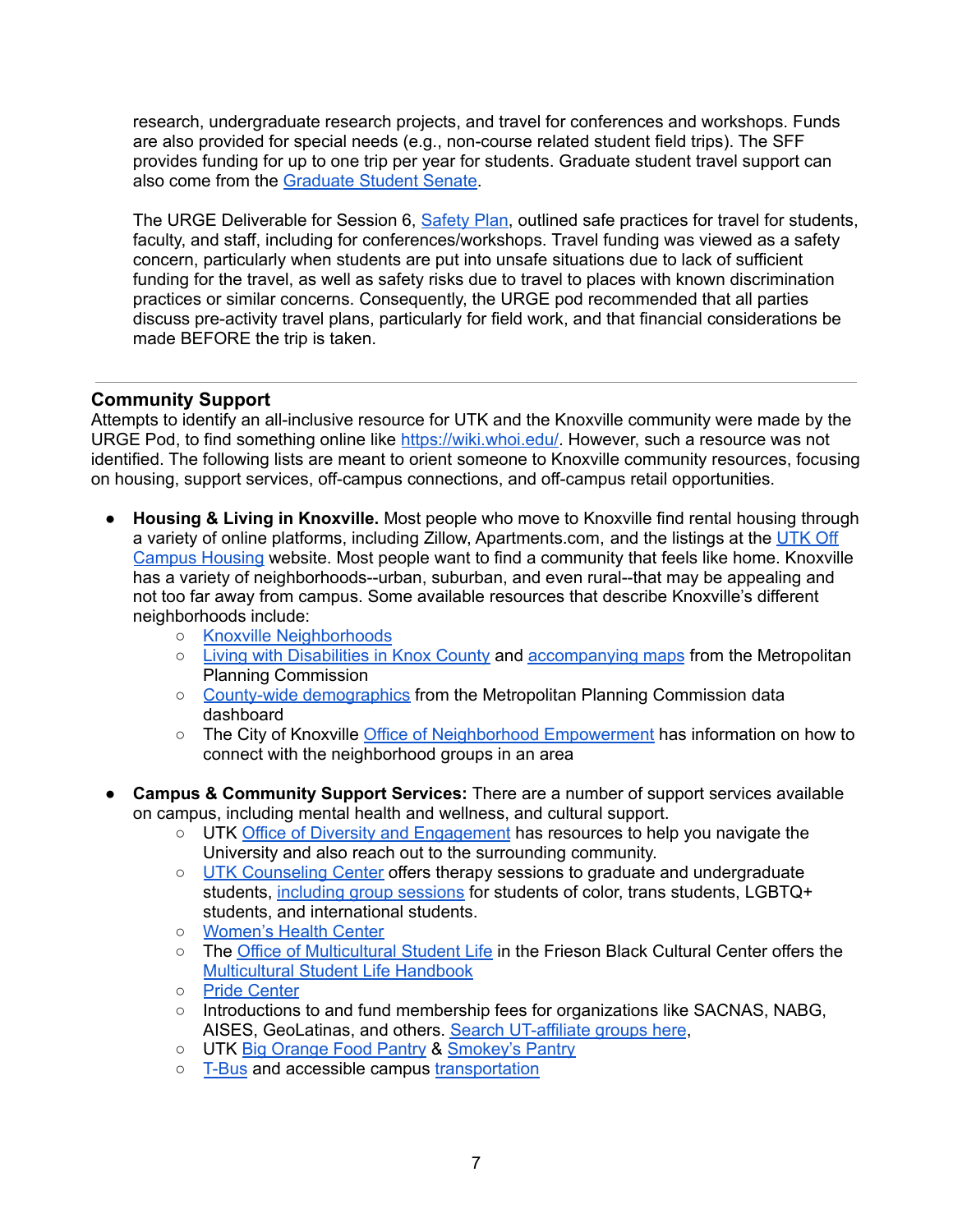research, undergraduate research projects, and travel for conferences and workshops. Funds are also provided for special needs (e.g., non-course related student field trips). The SFF provides funding for up to one trip per year for students. Graduate student travel support can also come from the [Graduate](https://gss.utk.edu/information/) Student Senate.

The URGE Deliverable for Session 6, [Safety](https://urgeoscience.org/pods/u-of-tennessee-earth-planetary-sciences-pod/#) Plan, outlined safe practices for travel for students, faculty, and staff, including for conferences/workshops. Travel funding was viewed as a safety concern, particularly when students are put into unsafe situations due to lack of sufficient funding for the travel, as well as safety risks due to travel to places with known discrimination practices or similar concerns. Consequently, the URGE pod recommended that all parties discuss pre-activity travel plans, particularly for field work, and that financial considerations be made BEFORE the trip is taken.

# **Community Support**

Attempts to identify an all-inclusive resource for UTK and the Knoxville community were made by the URGE Pod, to find something online like <https://wiki.whoi.edu/>. However, such a resource was not identified. The following lists are meant to orient someone to Knoxville community resources, focusing on housing, support services, off-campus connections, and off-campus retail opportunities.

- **Housing & Living in Knoxville.** Most people who move to Knoxville find rental housing through a variety of online platforms, including Zillow, Apartments.com, and the listings at the [UTK](https://offcampushousing.utk.edu/) Off [Campus](https://offcampushousing.utk.edu/) Housing website. Most people want to find a community that feels like home. Knoxville has a variety of neighborhoods--urban, suburban, and even rural--that may be appealing and not too far away from campus. Some available resources that describe Knoxville's different neighborhoods include:
	- Knoxville [Neighborhoods](https://www.visitknoxville.com/plan-a-trip/trip-ideas/in-the-neighborhood/)
	- Living with [Disabilities](https://archive.knoxmpc.org/locldata/disability_2021.pdf) in Knox County and [accompanying](https://knoxgis.maps.arcgis.com/apps/Cascade/index.html?appid=8957e540790b4f3694ff170d41b7db3f&folderid=054a297ef54646598563e7d036a9903c) maps from the Metropolitan Planning Commission
	- County-wide [demographics](https://knoxmpc.org/panorama) from the Metropolitan Planning Commission data dashboard
	- The City of Knoxville Office of Neighborhood [Empowerment](https://knoxvilletn.gov/government/city_departments_offices/neighborhoods) has information on how to connect with the neighborhood groups in an area
- **Campus & Community Support Services:** There are a number of support services available on campus, including mental health and wellness, and cultural support.
	- UTK Office of Diversity and [Engagement](https://diversity.utk.edu/) has resources to help you navigate the University and also reach out to the surrounding community.
	- UTK [Counseling](https://counselingcenter.utk.edu/) Center offers therapy sessions to graduate and undergraduate students, [including](https://counselingcenter.utk.edu/clinical-services/group-therapy/) group sessions for students of color, trans students, LGBTQ+ students, and international students.
	- [Women's](https://studenthealth.utk.edu/womens-health-clinic/) Health Center
	- The Office of [Multicultural](https://multicultural.utk.edu/) Student Life in the Frieson Black Cultural Center offers the [Multicultural](https://multicultural.utk.edu/services/msl-resource-handbook/) Student Life Handbook
	- Pride [Center](http://pridecenter.utk.edu/)
	- Introductions to and fund membership fees for organizations like SACNAS, NABG, AISES, GeoLatinas, and others. Search [UT-affiliate](https://utk.campuslabs.com/engage/organizations) groups here,
	- UTK Big [Orange](https://news.utk.edu/2020/10/29/new-on-campus-pantry-opens-for-ut-community/) Food Pantry & [Smokey's](https://smokeyspantry.wordpress.com/) Pantry
	- o [T-Bus](https://ridethet.utk.edu/) and accessible campus [transportation](https://ridethet.utk.edu/accessible-transportation/)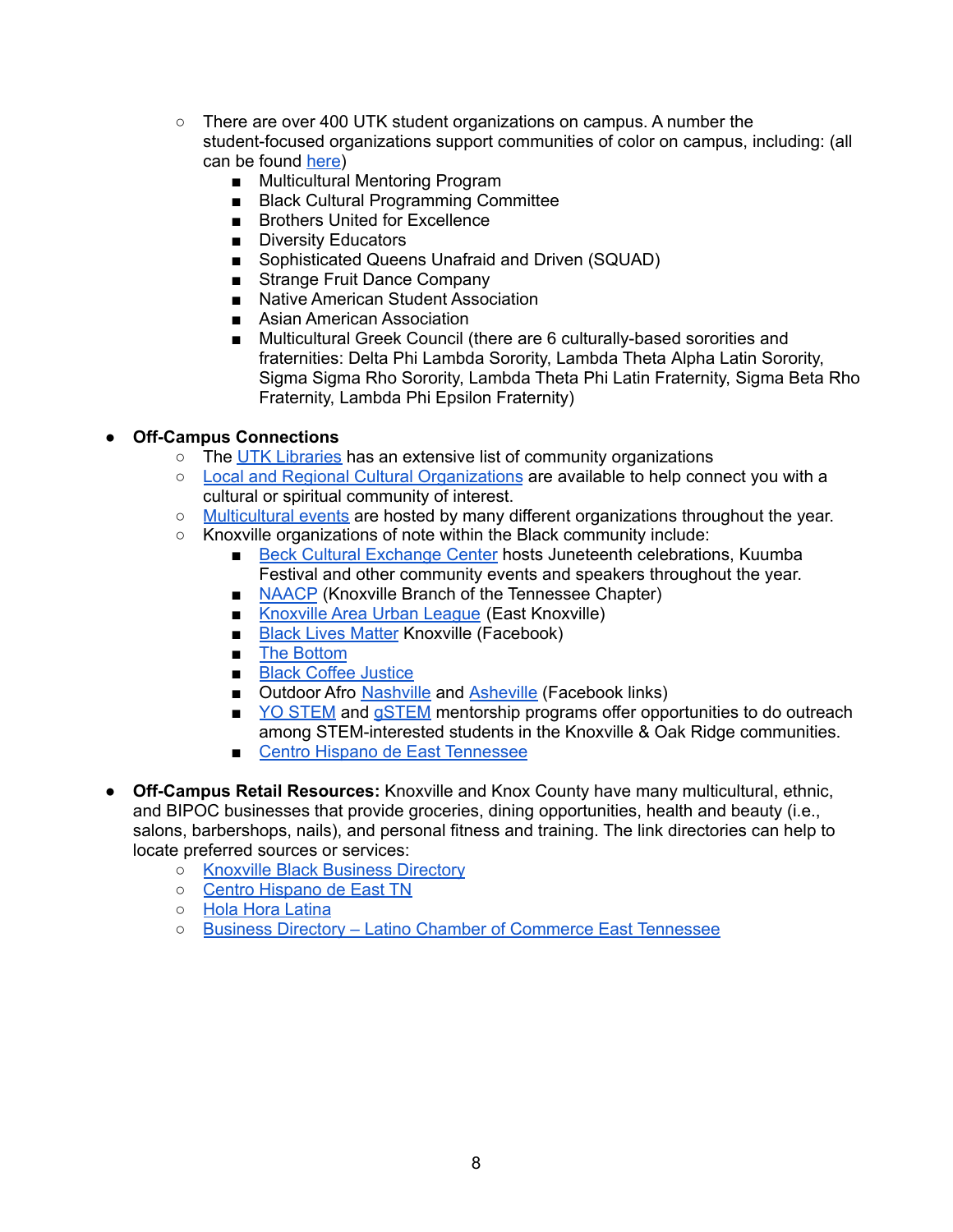- There are over 400 UTK student organizations on campus. A number the student-focused organizations support communities of color on campus, including: (all can be found [here](https://utk.campuslabs.com/engage/))
	- Multicultural Mentoring Program
	- Black Cultural Programming Committee
	- Brothers United for Excellence
	- Diversity Educators
	- Sophisticated Queens Unafraid and Driven (SQUAD)
	- Strange Fruit Dance Company
	- Native American Student Association
	- Asian American Association
	- Multicultural Greek Council (there are 6 culturally-based sororities and fraternities: Delta Phi Lambda Sorority, Lambda Theta Alpha Latin Sorority, Sigma Sigma Rho Sorority, Lambda Theta Phi Latin Fraternity, Sigma Beta Rho Fraternity, Lambda Phi Epsilon Fraternity)

### **● Off-Campus Connections**

- The UTK [Libraries](https://www.lib.utk.edu/diversity/home/diversity-resources/community-diversity-organizations/) has an extensive list of community organizations
- Local and Regional Cultural [Organizations](https://www.lib.utk.edu/diversity/home/diversity-resources/community-diversity-organizations/) are available to help connect you with a cultural or spiritual community of interest.
- [Multicultural](https://knoxvilletn.gov/government/mayors_office/immigration/celebrating_cultural_diversity) events are hosted by many different organizations throughout the year.
- Knoxville organizations of note within the Black community include:
	- Beck Cultural [Exchange](https://www.beckcenter.net/) Center hosts Juneteenth celebrations, Kuumba Festival and other community events and speakers throughout the year.
	- [NAACP](http://knoxvillenaacp.org/) (Knoxville Branch of the Tennessee Chapter)
	- [Knoxville](https://www.thekaul.org/) Area Urban League (East Knoxville)
	- Black Lives [Matter](https://www.facebook.com/BLMKNOX/) Knoxville (Facebook)
	- The [Bottom](https://www.thebottomknox.com/)
	- Black Coffee [Justice](https://www.blackcoffeejustice.com/)
	- Outdoor Afro [Nashville](https://www.facebook.com/groups/490615711145730) and [Asheville](https://www.facebook.com/groups/428523031248753/) (Facebook links)
	- YO [STEM](https://yostem.org/) and [gSTEM](https://yostem.org/gstem) mentorship programs offer opportunities to do outreach among STEM-interested students in the Knoxville & Oak Ridge communities.
	- Centro Hispano de East [Tennessee](https://www.centrohispanotn.org/)
- **Off-Campus Retail Resources:** Knoxville and Knox County have many multicultural, ethnic, and BIPOC businesses that provide groceries, dining opportunities, health and beauty (i.e., salons, barbershops, nails), and personal fitness and training. The link directories can help to locate preferred sources or services:
	- Knoxville Black [Business](https://www.knoxvilleblackbusiness.com/home) Directory
	- Centro [Hispano](https://www.centrohispanotn.org/) de East TN
	- Hola Hora [Latina](https://holahoralatina.org/)
	- Business Directory Latino Chamber of [Commerce](http://latinchambertn.com/businessdirectory/) East Tennessee